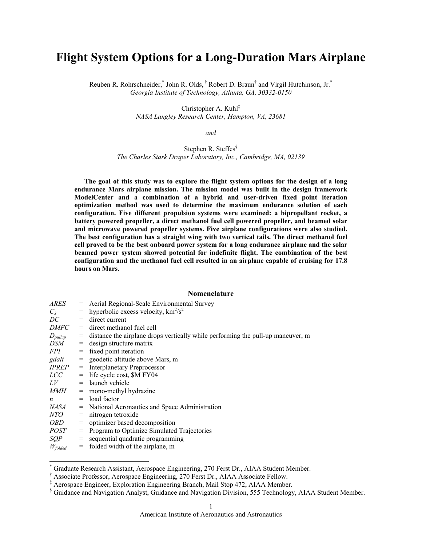# **Flight System Options for a Long-Duration Mars Airplane**

Reuben R. Rohrschneider,<sup>\*</sup> John R. Olds,<sup>†</sup> Robert D. Braun<sup>†</sup> and Virgil Hutchinson, Jr.<sup>\*</sup> *Georgia Institute of Technology, Atlanta, GA, 30332-0150* 

> Christopher A. Kuhl‡ *NASA Langley Research Center, Hampton, VA, 23681*

> > *and*

Stephen R. Steffes§ *The Charles Stark Draper Laboratory, Inc., Cambridge, MA, 02139* 

**The goal of this study was to explore the flight system options for the design of a long endurance Mars airplane mission. The mission model was built in the design framework ModelCenter and a combination of a hybrid and user-driven fixed point iteration optimization method was used to determine the maximum endurance solution of each configuration. Five different propulsion systems were examined: a bipropellant rocket, a battery powered propeller, a direct methanol fuel cell powered propeller, and beamed solar and microwave powered propeller systems. Five airplane configurations were also studied. The best configuration has a straight wing with two vertical tails. The direct methanol fuel cell proved to be the best onboard power system for a long endurance airplane and the solar beamed power system showed potential for indefinite flight. The combination of the best configuration and the methanol fuel cell resulted in an airplane capable of cruising for 17.8 hours on Mars.** 

## **Nomenclature**

| ARES             |     | = Aerial Regional-Scale Environmental Survey                                    |
|------------------|-----|---------------------------------------------------------------------------------|
| $C_3$            | $=$ | hyperbolic excess velocity, $km^2/s^2$                                          |
| DC               | $=$ | direct current                                                                  |
| <i>DMFC</i>      | $=$ | direct methanol fuel cell                                                       |
| $D_{pullup}$     | $=$ | distance the airplane drops vertically while performing the pull-up maneuver, m |
| DSM              |     | $=$ design structure matrix                                                     |
| FPI              | $=$ | fixed point iteration                                                           |
| gdalt            |     | $=$ geodetic altitude above Mars, m                                             |
| <i>IPREP</i>     | $=$ | <b>Interplanetary Preprocessor</b>                                              |
| LCC              | $=$ | life cycle cost, \$M FY04                                                       |
| L V              | $=$ | launch vehicle                                                                  |
| <i>MMH</i>       | $=$ | mono-methyl hydrazine                                                           |
| $\boldsymbol{n}$ |     | $=$ load factor                                                                 |
| NASA             |     | = National Aeronautics and Space Administration                                 |
| NTO              | $=$ | nitrogen tetroxide                                                              |
| <i>OBD</i>       | $=$ | optimizer based decomposition                                                   |
| <i>POST</i>      | $=$ | Program to Optimize Simulated Trajectories                                      |
| SQP              | $=$ | sequential quadratic programming                                                |
|                  |     |                                                                                 |

 $W_{folded}$  = folded width of the airplane, m

 $\overline{a}$ 

<sup>\*</sup> Graduate Research Assistant, Aerospace Engineering, 270 Ferst Dr., AIAA Student Member.

<sup>†</sup> Associate Professor, Aerospace Engineering, 270 Ferst Dr., AIAA Associate Fellow.

<sup>‡</sup> Aerospace Engineer, Exploration Engineering Branch, Mail Stop 472, AIAA Member.

<sup>§</sup> Guidance and Navigation Analyst, Guidance and Navigation Division, 555 Technology, AIAA Student Member.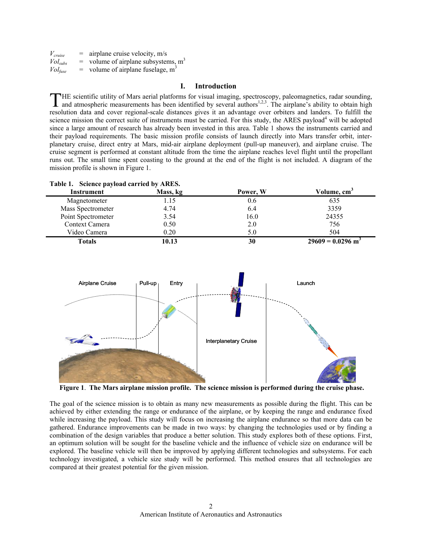| $V_{cruise}$        | $=$ airplane cruise velocity, m/s     |  |  |
|---------------------|---------------------------------------|--|--|
| $Vol_{subs}$        | = volume of airplane subsystems, $m3$ |  |  |
| $Vol_{\text{fuse}}$ | $=$ volume of airplane fuselage, $m3$ |  |  |

## **I. Introduction**

HE scientific utility of Mars aerial platforms for visual imaging, spectroscopy, paleomagnetics, radar sounding, THE scientific utility of Mars aerial platforms for visual imaging, spectroscopy, paleomagnetics, radar sounding, and atmospheric measurements has been identified by several authors<sup>1,2,3</sup>. The airplane's ability to obtain resolution data and cover regional-scale distances gives it an advantage over orbiters and landers. To fulfill the science mission the correct suite of instruments must be carried. For this study, the ARES payload<sup>4</sup> will be adopted since a large amount of research has already been invested in this area. Table 1 shows the instruments carried and their payload requirements. The basic mission profile consists of launch directly into Mars transfer orbit, interplanetary cruise, direct entry at Mars, mid-air airplane deployment (pull-up maneuver), and airplane cruise. The cruise segment is performed at constant altitude from the time the airplane reaches level flight until the propellant runs out. The small time spent coasting to the ground at the end of the flight is not included. A diagram of the mission profile is shown in Figure 1.

| Table 1. Science payload carried by ARES. |          |          |                                 |
|-------------------------------------------|----------|----------|---------------------------------|
| Instrument                                | Mass, kg | Power, W | Volume, cm <sup>3</sup>         |
| Magnetometer                              | 1.15     | 0.6      | 635                             |
| Mass Spectrometer                         | 4.74     | 6.4      | 3359                            |
| Point Spectrometer                        | 3.54     | 16.0     | 24355                           |
| Context Camera                            | 0.50     | 2.0      | 756                             |
| Video Camera                              | 0.20     | 5.0      | 504                             |
| <b>Totals</b>                             | 10.13    | 30       | $29609 = 0.0296$ m <sup>3</sup> |



 **Figure 1**. **The Mars airplane mission profile. The science mission is performed during the cruise phase.** 

The goal of the science mission is to obtain as many new measurements as possible during the flight. This can be achieved by either extending the range or endurance of the airplane, or by keeping the range and endurance fixed while increasing the payload. This study will focus on increasing the airplane endurance so that more data can be gathered. Endurance improvements can be made in two ways: by changing the technologies used or by finding a combination of the design variables that produce a better solution. This study explores both of these options. First, an optimum solution will be sought for the baseline vehicle and the influence of vehicle size on endurance will be explored. The baseline vehicle will then be improved by applying different technologies and subsystems. For each technology investigated, a vehicle size study will be performed. This method ensures that all technologies are compared at their greatest potential for the given mission.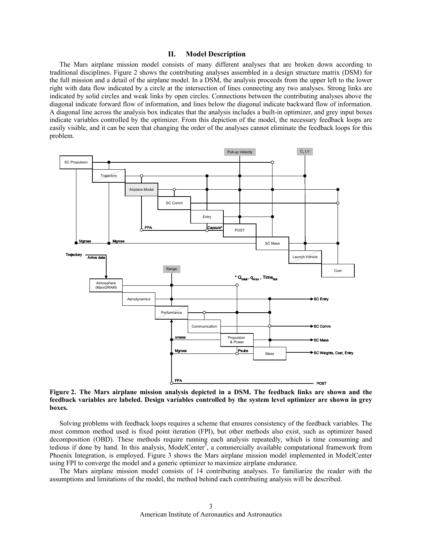#### **II. Model Description**

The Mars airplane mission model consists of many different analyses that are broken down according to traditional disciplines. Figure 2 shows the contributing analyses assembled in a design structure matrix (DSM) for the full mission and a detail of the airplane model. In a DSM, the analysis proceeds from the upper left to the lower right with data flow indicated by a circle at the intersection of lines connecting any two analyses. Strong links are indicated by solid circles and weak links by open circles. Connections between the contributing analyses above the diagonal indicate forward flow of information, and lines below the diagonal indicate backward flow of information. A diagonal line across the analysis box indicates that the analysis includes a built-in optimizer, and grey input boxes indicate variables controlled by the optimizer. From this depiction of the model, the necessary feedback loops are easily visible, and it can be seen that changing the order of the analyses cannot eliminate the feedback loops for this problem.



**Figure 2. The Mars airplane mission analysis depicted in a DSM. The feedback links are shown and the feedback variables are labeled. Design variables controlled by the system level optimizer are shown in grey boxes.** 

Solving problems with feedback loops requires a scheme that ensures consistency of the feedback variables. The most common method used is fixed point iteration (FPI), but other methods also exist, such as optimizer based decomposition (OBD). These methods require running each analysis repeatedly, which is time consuming and tedious if done by hand. In this analysis, ModelCenter<sup>5</sup>, a commercially available computational framework from Phoenix Integration, is employed. Figure 3 shows the Mars airplane mission model implemented in ModelCenter using FPI to converge the model and a generic optimizer to maximize airplane endurance.

The Mars airplane mission model consists of 14 contributing analyses. To familiarize the reader with the assumptions and limitations of the model, the method behind each contributing analysis will be described.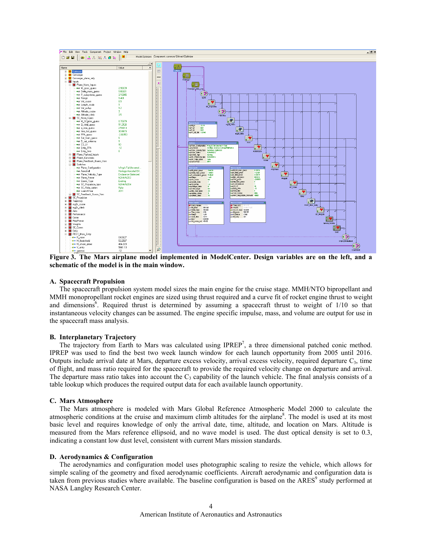

**Figure 3. The Mars airplane model implemented in ModelCenter. Design variables are on the left, and a schematic of the model is in the main window.** 

#### **A. Spacecraft Propulsion**

The spacecraft propulsion system model sizes the main engine for the cruise stage. MMH/NTO bipropellant and MMH monopropellant rocket engines are sized using thrust required and a curve fit of rocket engine thrust to weight and dimensions<sup>6</sup>. Required thrust is determined by assuming a spacecraft thrust to weight of 1/10 so that instantaneous velocity changes can be assumed. The engine specific impulse, mass, and volume are output for use in the spacecraft mass analysis.

#### **B. Interplanetary Trajectory**

The trajectory from Earth to Mars was calculated using IPREP<sup>7</sup>, a three dimensional patched conic method. IPREP was used to find the best two week launch window for each launch opportunity from 2005 until 2016. Outputs include arrival date at Mars, departure excess velocity, arrival excess velocity, required departure  $C_3$ , time of flight, and mass ratio required for the spacecraft to provide the required velocity change on departure and arrival. The departure mass ratio takes into account the  $C_3$  capability of the launch vehicle. The final analysis consists of a table lookup which produces the required output data for each available launch opportunity.

#### **C. Mars Atmosphere**

The Mars atmosphere is modeled with Mars Global Reference Atmospheric Model 2000 to calculate the atmospheric conditions at the cruise and maximum climb altitudes for the airplane<sup>8</sup>. The model is used at its most basic level and requires knowledge of only the arrival date, time, altitude, and location on Mars. Altitude is measured from the Mars reference ellipsoid, and no wave model is used. The dust optical density is set to 0.3, indicating a constant low dust level, consistent with current Mars mission standards.

## **D. Aerodynamics & Configuration**

The aerodynamics and configuration model uses photographic scaling to resize the vehicle, which allows for simple scaling of the geometry and fixed aerodynamic coefficients. Aircraft aerodynamic and configuration data is taken from previous studies where available. The baseline configuration is based on the ARES<sup>9</sup> study performed at NASA Langley Research Center.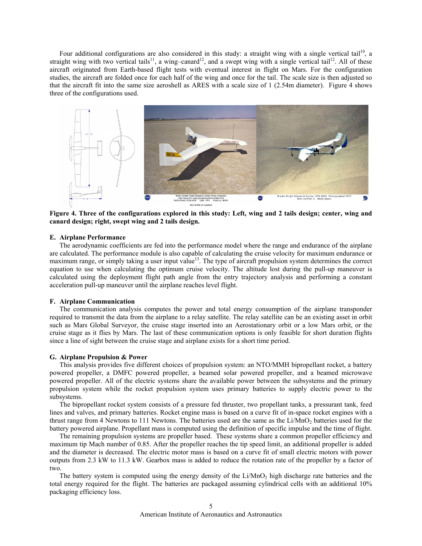Four additional configurations are also considered in this study: a straight wing with a single vertical tail<sup>10</sup>, a straight wing with two vertical tails<sup>11</sup>, a wing–canard<sup>12</sup>, and a swept wing with a single vertical tail<sup>12</sup>. All of these aircraft originated from Earth-based flight tests with eventual interest in flight on Mars. For the configuration studies, the aircraft are folded once for each half of the wing and once for the tail. The scale size is then adjusted so that the aircraft fit into the same size aeroshell as ARES with a scale size of 1 (2.54m diameter). Figure 4 shows three of the configurations used.



**Figure 4. Three of the configurations explored in this study: Left, wing and 2 tails design; center, wing and canard design; right, swept wing and 2 tails design.** 

## **E. Airplane Performance**

The aerodynamic coefficients are fed into the performance model where the range and endurance of the airplane are calculated. The performance module is also capable of calculating the cruise velocity for maximum endurance or maximum range, or simply taking a user input value<sup>13</sup>. The type of aircraft propulsion system determines the correct equation to use when calculating the optimum cruise velocity. The altitude lost during the pull-up maneuver is calculated using the deployment flight path angle from the entry trajectory analysis and performing a constant acceleration pull-up maneuver until the airplane reaches level flight.

#### **F. Airplane Communication**

The communication analysis computes the power and total energy consumption of the airplane transponder required to transmit the data from the airplane to a relay satellite. The relay satellite can be an existing asset in orbit such as Mars Global Surveyor, the cruise stage inserted into an Aerostationary orbit or a low Mars orbit, or the cruise stage as it flies by Mars. The last of these communication options is only feasible for short duration flights since a line of sight between the cruise stage and airplane exists for a short time period.

#### **G. Airplane Propulsion & Power**

This analysis provides five different choices of propulsion system: an NTO/MMH bipropellant rocket, a battery powered propeller, a DMFC powered propeller, a beamed solar powered propeller, and a beamed microwave powered propeller. All of the electric systems share the available power between the subsystems and the primary propulsion system while the rocket propulsion system uses primary batteries to supply electric power to the subsystems.

The bipropellant rocket system consists of a pressure fed thruster, two propellant tanks, a pressurant tank, feed lines and valves, and primary batteries. Rocket engine mass is based on a curve fit of in-space rocket engines with a thrust range from 4 Newtons to 111 Newtons. The batteries used are the same as the  $Li/MnO<sub>2</sub>$  batteries used for the battery powered airplane. Propellant mass is computed using the definition of specific impulse and the time of flight.

The remaining propulsion systems are propeller based. These systems share a common propeller efficiency and maximum tip Mach number of 0.85. After the propeller reaches the tip speed limit, an additional propeller is added and the diameter is decreased. The electric motor mass is based on a curve fit of small electric motors with power outputs from 2.3 kW to 11.3 kW. Gearbox mass is added to reduce the rotation rate of the propeller by a factor of two.

The battery system is computed using the energy density of the Li/MnO<sub>2</sub> high discharge rate batteries and the total energy required for the flight. The batteries are packaged assuming cylindrical cells with an additional 10% packaging efficiency loss.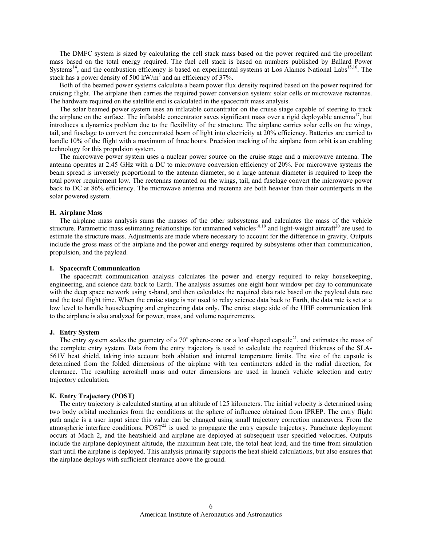The DMFC system is sized by calculating the cell stack mass based on the power required and the propellant mass based on the total energy required. The fuel cell stack is based on numbers published by Ballard Power Systems<sup>14</sup>, and the combustion efficiency is based on experimental systems at Los Alamos National Labs<sup>15,16</sup>. The stack has a power density of 500 kW/m<sup>3</sup> and an efficiency of 37%.

Both of the beamed power systems calculate a beam power flux density required based on the power required for cruising flight. The airplane then carries the required power conversion system: solar cells or microwave rectennas. The hardware required on the satellite end is calculated in the spacecraft mass analysis.

The solar beamed power system uses an inflatable concentrator on the cruise stage capable of steering to track the airplane on the surface. The inflatable concentrator saves significant mass over a rigid deployable antenna<sup>17</sup>, but introduces a dynamics problem due to the flexibility of the structure. The airplane carries solar cells on the wings, tail, and fuselage to convert the concentrated beam of light into electricity at 20% efficiency. Batteries are carried to handle 10% of the flight with a maximum of three hours. Precision tracking of the airplane from orbit is an enabling technology for this propulsion system.

The microwave power system uses a nuclear power source on the cruise stage and a microwave antenna. The antenna operates at 2.45 GHz with a DC to microwave conversion efficiency of 20%. For microwave systems the beam spread is inversely proportional to the antenna diameter, so a large antenna diameter is required to keep the total power requirement low. The rectennas mounted on the wings, tail, and fuselage convert the microwave power back to DC at 86% efficiency. The microwave antenna and rectenna are both heavier than their counterparts in the solar powered system.

#### **H. Airplane Mass**

The airplane mass analysis sums the masses of the other subsystems and calculates the mass of the vehicle structure. Parametric mass estimating relationships for unmanned vehicles<sup>18,19</sup> and light-weight aircraft<sup>20</sup> are used to estimate the structure mass. Adjustments are made where necessary to account for the difference in gravity. Outputs include the gross mass of the airplane and the power and energy required by subsystems other than communication, propulsion, and the payload.

## **I. Spacecraft Communication**

The spacecraft communication analysis calculates the power and energy required to relay housekeeping, engineering, and science data back to Earth. The analysis assumes one eight hour window per day to communicate with the deep space network using x-band, and then calculates the required data rate based on the payload data rate and the total flight time. When the cruise stage is not used to relay science data back to Earth, the data rate is set at a low level to handle housekeeping and engineering data only. The cruise stage side of the UHF communication link to the airplane is also analyzed for power, mass, and volume requirements.

## **J. Entry System**

The entry system scales the geometry of a 70° sphere-cone or a loaf shaped capsule<sup>21</sup>, and estimates the mass of the complete entry system. Data from the entry trajectory is used to calculate the required thickness of the SLA-561V heat shield, taking into account both ablation and internal temperature limits. The size of the capsule is determined from the folded dimensions of the airplane with ten centimeters added in the radial direction, for clearance. The resulting aeroshell mass and outer dimensions are used in launch vehicle selection and entry trajectory calculation.

#### **K. Entry Trajectory (POST)**

The entry trajectory is calculated starting at an altitude of 125 kilometers. The initial velocity is determined using two body orbital mechanics from the conditions at the sphere of influence obtained from IPREP. The entry flight path angle is a user input since this value can be changed using small trajectory correction maneuvers. From the atmospheric interface conditions,  $POST^{22}$  is used to propagate the entry capsule trajectory. Parachute deployment occurs at Mach 2, and the heatshield and airplane are deployed at subsequent user specified velocities. Outputs include the airplane deployment altitude, the maximum heat rate, the total heat load, and the time from simulation start until the airplane is deployed. This analysis primarily supports the heat shield calculations, but also ensures that the airplane deploys with sufficient clearance above the ground.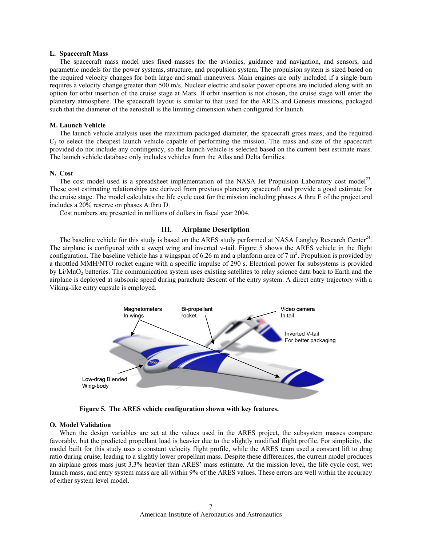#### **L. Spacecraft Mass**

The spacecraft mass model uses fixed masses for the avionics, guidance and navigation, and sensors, and parametric models for the power systems, structure, and propulsion system. The propulsion system is sized based on the required velocity changes for both large and small maneuvers. Main engines are only included if a single burn requires a velocity change greater than 500 m/s. Nuclear electric and solar power options are included along with an option for orbit insertion of the cruise stage at Mars. If orbit insertion is not chosen, the cruise stage will enter the planetary atmosphere. The spacecraft layout is similar to that used for the ARES and Genesis missions, packaged such that the diameter of the aeroshell is the limiting dimension when configured for launch.

#### **M. Launch Vehicle**

The launch vehicle analysis uses the maximum packaged diameter, the spacecraft gross mass, and the required  $C_3$  to select the cheapest launch vehicle capable of performing the mission. The mass and size of the spacecraft provided do not include any contingency, so the launch vehicle is selected based on the current best estimate mass. The launch vehicle database only includes vehicles from the Atlas and Delta families.

#### **N. Cost**

The cost model used is a spreadsheet implementation of the NASA Jet Propulsion Laboratory cost model<sup>23</sup>. These cost estimating relationships are derived from previous planetary spacecraft and provide a good estimate for the cruise stage. The model calculates the life cycle cost for the mission including phases A thru E of the project and includes a 20% reserve on phases A thru D.

Cost numbers are presented in millions of dollars in fiscal year 2004.

# **III. Airplane Description**

The baseline vehicle for this study is based on the ARES study performed at NASA Langley Research Center<sup>24</sup>. The airplane is configured with a swept wing and inverted v-tail. Figure 5 shows the ARES vehicle in the flight configuration. The baseline vehicle has a wingspan of 6.26 m and a planform area of 7  $m^2$ . Propulsion is provided by a throttled MMH/NTO rocket engine with a specific impulse of 290 s. Electrical power for subsystems is provided by Li/MnO<sub>2</sub> batteries. The communication system uses existing satellites to relay science data back to Earth and the airplane is deployed at subsonic speed during parachute descent of the entry system. A direct entry trajectory with a Viking-like entry capsule is employed.



 **Figure 5. The ARES vehicle configuration shown with key features.** 

## **O. Model Validation**

When the design variables are set at the values used in the ARES project, the subsystem masses compare favorably, but the predicted propellant load is heavier due to the slightly modified flight profile. For simplicity, the model built for this study uses a constant velocity flight profile, while the ARES team used a constant lift to drag ratio during cruise, leading to a slightly lower propellant mass. Despite these differences, the current model produces an airplane gross mass just 3.3% heavier than ARES' mass estimate. At the mission level, the life cycle cost, wet launch mass, and entry system mass are all within 9% of the ARES values. These errors are well within the accuracy of either system level model.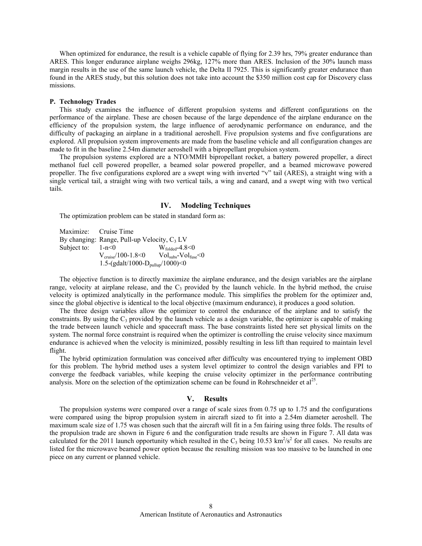When optimized for endurance, the result is a vehicle capable of flying for 2.39 hrs, 79% greater endurance than ARES. This longer endurance airplane weighs 296kg, 127% more than ARES. Inclusion of the 30% launch mass margin results in the use of the same launch vehicle, the Delta II 7925. This is significantly greater endurance than found in the ARES study, but this solution does not take into account the \$350 million cost cap for Discovery class missions.

#### **P. Technology Trades**

This study examines the influence of different propulsion systems and different configurations on the performance of the airplane. These are chosen because of the large dependence of the airplane endurance on the efficiency of the propulsion system, the large influence of aerodynamic performance on endurance, and the difficulty of packaging an airplane in a traditional aeroshell. Five propulsion systems and five configurations are explored. All propulsion system improvements are made from the baseline vehicle and all configuration changes are made to fit in the baseline 2.54m diameter aeroshell with a bipropellant propulsion system.

The propulsion systems explored are a NTO/MMH bipropellant rocket, a battery powered propeller, a direct methanol fuel cell powered propeller, a beamed solar powered propeller, and a beamed microwave powered propeller. The five configurations explored are a swept wing with inverted "v" tail (ARES), a straight wing with a single vertical tail, a straight wing with two vertical tails, a wing and canard, and a swept wing with two vertical tails.

## **IV. Modeling Techniques**

The optimization problem can be stated in standard form as:

| Maximize: Cruise Time |                                                |                                             |
|-----------------------|------------------------------------------------|---------------------------------------------|
|                       | By changing: Range, Pull-up Velocity, $C_3 LV$ |                                             |
| Subject to: $1-n<0$   |                                                | $W_{\text{folded}} - 4.8 < 0$               |
|                       | $V_{\text{cruise}}/100-1.8<0$                  | $Vol_{\text{subs}}$ - $Vol_{\text{fuse}}<0$ |
|                       | 1.5-(gdalt/1000- $D_{\text{pullup}}/1000$ )<0  |                                             |

The objective function is to directly maximize the airplane endurance, and the design variables are the airplane range, velocity at airplane release, and the  $C_3$  provided by the launch vehicle. In the hybrid method, the cruise velocity is optimized analytically in the performance module. This simplifies the problem for the optimizer and, since the global objective is identical to the local objective (maximum endurance), it produces a good solution.

The three design variables allow the optimizer to control the endurance of the airplane and to satisfy the constraints. By using the  $C_3$  provided by the launch vehicle as a design variable, the optimizer is capable of making the trade between launch vehicle and spacecraft mass. The base constraints listed here set physical limits on the system. The normal force constraint is required when the optimizer is controlling the cruise velocity since maximum endurance is achieved when the velocity is minimized, possibly resulting in less lift than required to maintain level flight.

The hybrid optimization formulation was conceived after difficulty was encountered trying to implement OBD for this problem. The hybrid method uses a system level optimizer to control the design variables and FPI to converge the feedback variables, while keeping the cruise velocity optimizer in the performance contributing analysis. More on the selection of the optimization scheme can be found in Rohrschneider et  $al^{25}$ .

#### **V. Results**

The propulsion systems were compared over a range of scale sizes from 0.75 up to 1.75 and the configurations were compared using the biprop propulsion system in aircraft sized to fit into a 2.54m diameter aeroshell. The maximum scale size of 1.75 was chosen such that the aircraft will fit in a 5m fairing using three folds. The results of the propulsion trade are shown in Figure 6 and the configuration trade results are shown in Figure 7. All data was calculated for the 2011 launch opportunity which resulted in the C<sub>3</sub> being 10.53 km<sup>2</sup>/s<sup>2</sup> for all cases. No results are listed for the microwave beamed power option because the resulting mission was too massive to be launched in one piece on any current or planned vehicle.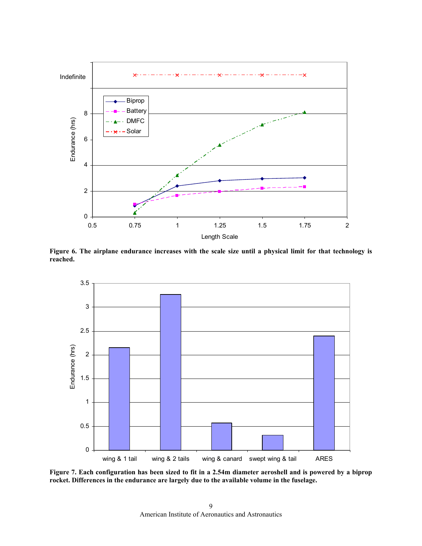

**Figure 6. The airplane endurance increases with the scale size until a physical limit for that technology is reached.** 



**Figure 7. Each configuration has been sized to fit in a 2.54m diameter aeroshell and is powered by a biprop rocket. Differences in the endurance are largely due to the available volume in the fuselage.**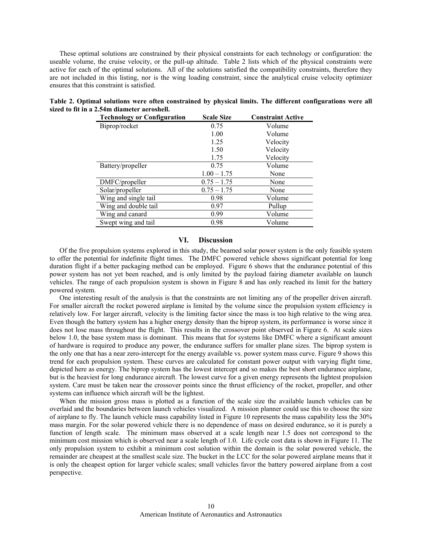These optimal solutions are constrained by their physical constraints for each technology or configuration: the useable volume, the cruise velocity, or the pull-up altitude. Table 2 lists which of the physical constraints were active for each of the optimal solutions. All of the solutions satisfied the compatibility constraints, therefore they are not included in this listing, nor is the wing loading constraint, since the analytical cruise velocity optimizer ensures that this constraint is satisfied.

| Table 2. Optimal solutions were often constrained by physical limits. The different configurations were all |  |  |  |
|-------------------------------------------------------------------------------------------------------------|--|--|--|
| sized to fit in a 2.54m diameter aeroshell.                                                                 |  |  |  |

| <b>Technology or Configuration</b> | <b>Scale Size</b> | <b>Constraint Active</b> |
|------------------------------------|-------------------|--------------------------|
| Biprop/rocket                      | 0.75              | Volume                   |
|                                    | 1.00              | Volume                   |
|                                    | 1.25              | Velocity                 |
|                                    | 1.50              | Velocity                 |
|                                    | 1.75              | Velocity                 |
| Battery/propeller                  | 0.75              | Volume                   |
|                                    | $1.00 - 1.75$     | None                     |
| DMFC/propeller                     | $0.75 - 1.75$     | None                     |
| Solar/propeller                    | $0.75 - 1.75$     | None                     |
| Wing and single tail               | 0.98              | Volume                   |
| Wing and double tail               | 0.97              | Pullup                   |
| Wing and canard                    | 0.99              | Volume                   |
| Swept wing and tail                | 0.98              | Volume                   |

## **VI. Discussion**

Of the five propulsion systems explored in this study, the beamed solar power system is the only feasible system to offer the potential for indefinite flight times. The DMFC powered vehicle shows significant potential for long duration flight if a better packaging method can be employed. Figure 6 shows that the endurance potential of this power system has not yet been reached, and is only limited by the payload fairing diameter available on launch vehicles. The range of each propulsion system is shown in Figure 8 and has only reached its limit for the battery powered system.

One interesting result of the analysis is that the constraints are not limiting any of the propeller driven aircraft. For smaller aircraft the rocket powered airplane is limited by the volume since the propulsion system efficiency is relatively low. For larger aircraft, velocity is the limiting factor since the mass is too high relative to the wing area. Even though the battery system has a higher energy density than the biprop system, its performance is worse since it does not lose mass throughout the flight. This results in the crossover point observed in Figure 6. At scale sizes below 1.0, the base system mass is dominant. This means that for systems like DMFC where a significant amount of hardware is required to produce any power, the endurance suffers for smaller plane sizes. The biprop system is the only one that has a near zero-intercept for the energy available vs. power system mass curve. Figure 9 shows this trend for each propulsion system. These curves are calculated for constant power output with varying flight time, depicted here as energy. The biprop system has the lowest intercept and so makes the best short endurance airplane, but is the heaviest for long endurance aircraft. The lowest curve for a given energy represents the lightest propulsion system. Care must be taken near the crossover points since the thrust efficiency of the rocket, propeller, and other systems can influence which aircraft will be the lightest.

When the mission gross mass is plotted as a function of the scale size the available launch vehicles can be overlaid and the boundaries between launch vehicles visualized. A mission planner could use this to choose the size of airplane to fly. The launch vehicle mass capability listed in Figure 10 represents the mass capability less the 30% mass margin. For the solar powered vehicle there is no dependence of mass on desired endurance, so it is purely a function of length scale. The minimum mass observed at a scale length near 1.5 does not correspond to the minimum cost mission which is observed near a scale length of 1.0. Life cycle cost data is shown in Figure 11. The only propulsion system to exhibit a minimum cost solution within the domain is the solar powered vehicle, the remainder are cheapest at the smallest scale size. The bucket in the LCC for the solar powered airplane means that it is only the cheapest option for larger vehicle scales; small vehicles favor the battery powered airplane from a cost perspective.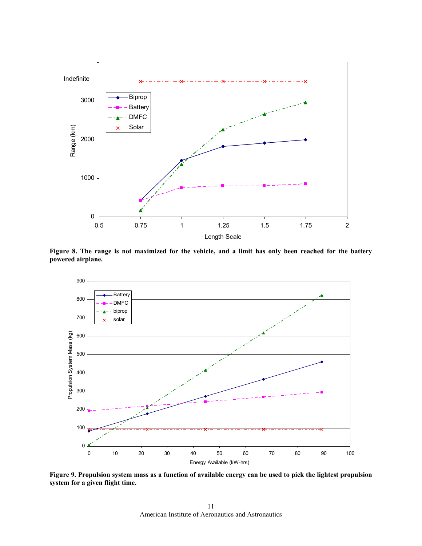

**Figure 8. The range is not maximized for the vehicle, and a limit has only been reached for the battery powered airplane.** 



**Figure 9. Propulsion system mass as a function of available energy can be used to pick the lightest propulsion system for a given flight time.**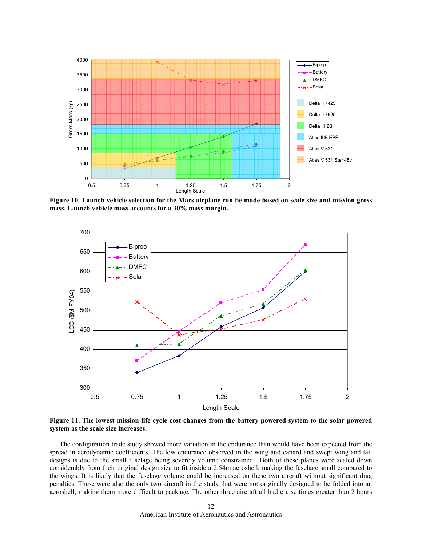

**Figure 10. Launch vehicle selection for the Mars airplane can be made based on scale size and mission gross mass. Launch vehicle mass accounts for a 30% mass margin.** 



**Figure 11. The lowest mission life cycle cost changes from the battery powered system to the solar powered system as the scale size increases.** 

The configuration trade study showed more variation in the endurance than would have been expected from the spread in aerodynamic coefficients. The low endurance observed in the wing and canard and swept wing and tail designs is due to the small fuselage being severely volume constrained. Both of these planes were scaled down considerably from their original design size to fit inside a 2.54m aeroshell, making the fuselage small compared to the wings. It is likely that the fuselage volume could be increased on these two aircraft without significant drag penalties. These were also the only two aircraft in the study that were not originally designed to be folded into an aeroshell, making them more difficult to package. The other three aircraft all had cruise times greater than 2 hours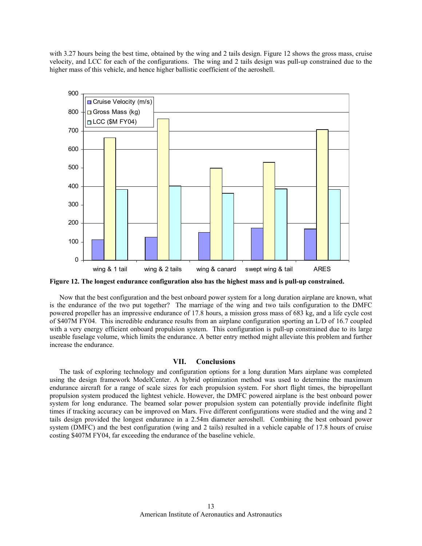with 3.27 hours being the best time, obtained by the wing and 2 tails design. Figure 12 shows the gross mass, cruise velocity, and LCC for each of the configurations. The wing and 2 tails design was pull-up constrained due to the higher mass of this vehicle, and hence higher ballistic coefficient of the aeroshell.



**Figure 12. The longest endurance configuration also has the highest mass and is pull-up constrained.** 

Now that the best configuration and the best onboard power system for a long duration airplane are known, what is the endurance of the two put together? The marriage of the wing and two tails configuration to the DMFC powered propeller has an impressive endurance of 17.8 hours, a mission gross mass of 683 kg, and a life cycle cost of \$407M FY04. This incredible endurance results from an airplane configuration sporting an L/D of 16.7 coupled with a very energy efficient onboard propulsion system. This configuration is pull-up constrained due to its large useable fuselage volume, which limits the endurance. A better entry method might alleviate this problem and further increase the endurance.

## **VII. Conclusions**

The task of exploring technology and configuration options for a long duration Mars airplane was completed using the design framework ModelCenter. A hybrid optimization method was used to determine the maximum endurance aircraft for a range of scale sizes for each propulsion system. For short flight times, the bipropellant propulsion system produced the lightest vehicle. However, the DMFC powered airplane is the best onboard power system for long endurance. The beamed solar power propulsion system can potentially provide indefinite flight times if tracking accuracy can be improved on Mars. Five different configurations were studied and the wing and 2 tails design provided the longest endurance in a 2.54m diameter aeroshell. Combining the best onboard power system (DMFC) and the best configuration (wing and 2 tails) resulted in a vehicle capable of 17.8 hours of cruise costing \$407M FY04, far exceeding the endurance of the baseline vehicle.